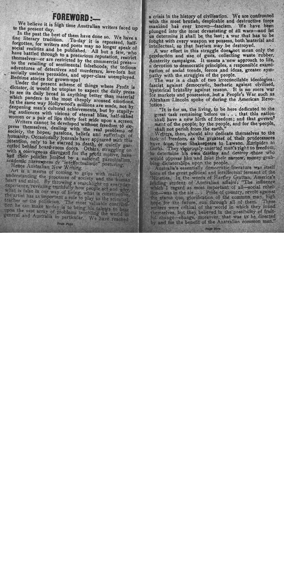## **FOREWORD:---**

We believe it is high time Australian writers faced up to the present day.

In the past the best of them have done so. We have a fine literary tradition. To-day it is repressed, halfforgotten, for writers and poets may no longer speak of social realities and be published. All but a few, who have battled through to a precarious reputation, restrict themselves-or are restricted by the commercial pressto the retailing of sentimental falsehoods, the tedious adventures of detectives and murderers, love-lorn but socially useless peroxides, and upper-class unemployed. Bedtime stories for grown-ups!

Under the present scheme of things where Profit is dictator, it would be utopian to expect the daily press to see its daily bread in anything better than material which panders to the most cheaply aroused emotions. In the same way Hollywood's millions are made, not by deepening man's cultural achievements, but by stupifying audiences with visions of eternal bliss, half-naked women or a pair of lips thirty feet wide upon a screen.

Writers cannot be developed without freedom to express themselves, dealing with the real problems of society, the hopes, passions, beliefs and sufferings of humanity. Occasionally journals have appeared with this intention, only to be starved to death, or quietly garrotted behind board-room doors. Others, struggling on with a courageous disregard for the profit motive, have had their policies limited by a national parochialism, academic narrowness or "intellectualistic" posturing.

Hence Australian New Writing.

Art is a means of coming, to grips with reality, of understanding the processes of society and the human heart and mind. By throwing a searchlight on everyday experience, revealing truthfully how people act and why, what is false in our way of living, what is constructive, the artist has as important a role to play as the scientist, teacher or the politician. The most valuable contribution he can make to-day is to bring his talents to hear. upon the vast array of problems troubling the world in general and Australia in particular. We have reached

a crisis in the history of civilisation. We are confronted with the most brutish, despicable and destructive force mankind has ever known-fascism. We have been plunged into the most devastating of all wars-and let us determine it shall be the last; a war that has to be fought with every weapon we possess, both material and intellectual, so that fascism may be destroyed.

A war effort in this struggle does not mean only the production and use of guns, collecting waste rubber, Austerity campaigns. It means a new approach to life, a devotion to democratic principles, a responsible examination of social trends, forces and ideas, greater sympathy with the struggles of the people.

The war is a clash of two irreconcilable ideologies: fascist against democratic, barbaric against civilised, hysterical brutality against reason. It is no mere war for markets and possession, but a People's War such as Abraham Lincoln spoke of during the American Revolution:

"It is for us, the living, to be here dedicated to the great task remaining before us . . . that this nationshall have a new birth of freedom; and that government of the people; by the people, and for the people, shall not perish from the earth."

Writers, then, should also dedicate themselves to the task of freedom, as the greatest of their predecessors have done, from Shakespeare to Lawson, Euripides to Gorki. They vigorously asserted man's right to freedom, to determine his own destiny and destroy those who would oppress him and foist their narrow, money-grubbing dictatorships upon the people.

Australia's essentially democratic literature was itself born of the great political and intellectual ferment of the Nineties. In the words of Hartley Grattan, America's leading student of Australian affairs. "The influence which I regard as most important of all-social rebellion-was in the air ... Pride of country, revolt against the status quo, glorification of the common man, high hope for the future, run through all of them. These writers were critical of the world in which they found themselves, but they believed in the possibility of fruitful change-change, moreover, that was to be directed by and for the benefit of the Australian common man."